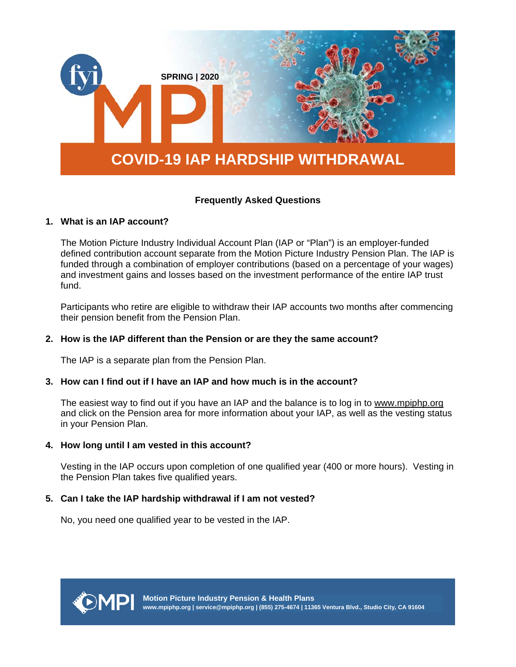

# **Frequently Asked Questions**

# **1. What is an IAP account?**

The Motion Picture Industry Individual Account Plan (IAP or "Plan") is an employer-funded defined contribution account separate from the Motion Picture Industry Pension Plan. The IAP is funded through a combination of employer contributions (based on a percentage of your wages) and investment gains and losses based on the investment performance of the entire IAP trust fund.

Participants who retire are eligible to withdraw their IAP accounts two months after commencing their pension benefit from the Pension Plan.

### **2. How is the IAP different than the Pension or are they the same account?**

The IAP is a separate plan from the Pension Plan.

# **3. How can I find out if I have an IAP and how much is in the account?**

The easiest way to find out if you have an IAP and the balance is to log in to www.mpiphp.org and click on the Pension area for more information about your IAP, as well as the vesting status in your Pension Plan.

### **4. How long until I am vested in this account?**

Vesting in the IAP occurs upon completion of one qualified year (400 or more hours). Vesting in the Pension Plan takes five qualified years.

# **5. Can I take the IAP hardship withdrawal if I am not vested?**

No, you need one qualified year to be vested in the IAP.

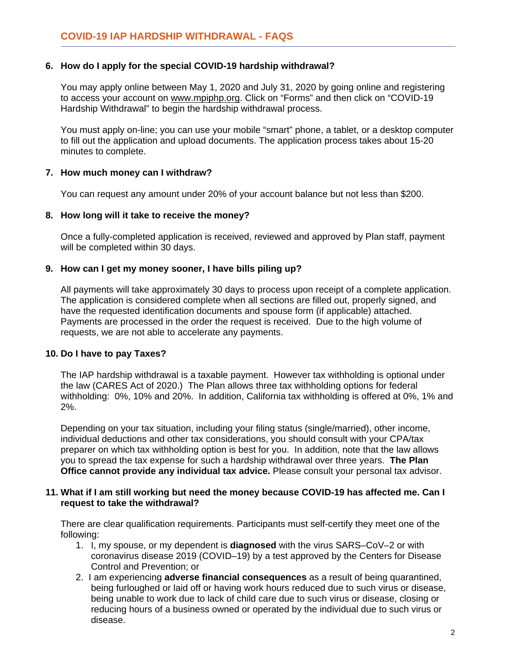# **6. How do I apply for the special COVID-19 hardship withdrawal?**

You may apply online between May 1, 2020 and July 31, 2020 by going online and registering to access your account on www.mpiphp.org. Click on "Forms" and then click on "COVID-19 Hardship Withdrawal" to begin the hardship withdrawal process.

You must apply on-line; you can use your mobile "smart" phone, a tablet, or a desktop computer to fill out the application and upload documents. The application process takes about 15-20 minutes to complete.

# **7. How much money can I withdraw?**

You can request any amount under 20% of your account balance but not less than \$200.

# **8. How long will it take to receive the money?**

Once a fully-completed application is received, reviewed and approved by Plan staff, payment will be completed within 30 days.

# **9. How can I get my money sooner, I have bills piling up?**

All payments will take approximately 30 days to process upon receipt of a complete application. The application is considered complete when all sections are filled out, properly signed, and have the requested identification documents and spouse form (if applicable) attached. Payments are processed in the order the request is received. Due to the high volume of requests, we are not able to accelerate any payments.

# **10. Do I have to pay Taxes?**

The IAP hardship withdrawal is a taxable payment. However tax withholding is optional under the law (CARES Act of 2020.) The Plan allows three tax withholding options for federal withholding: 0%, 10% and 20%. In addition, California tax withholding is offered at 0%, 1% and 2%.

Depending on your tax situation, including your filing status (single/married), other income, individual deductions and other tax considerations, you should consult with your CPA/tax preparer on which tax withholding option is best for you. In addition, note that the law allows you to spread the tax expense for such a hardship withdrawal over three years. **The Plan Office cannot provide any individual tax advice.** Please consult your personal tax advisor.

### **11. What if I am still working but need the money because COVID-19 has affected me. Can I request to take the withdrawal?**

There are clear qualification requirements. Participants must self-certify they meet one of the following:

- 1. I, my spouse, or my dependent is **diagnosed** with the virus SARS–CoV–2 or with coronavirus disease 2019 (COVID–19) by a test approved by the Centers for Disease Control and Prevention; or
- 2. I am experiencing **adverse financial consequences** as a result of being quarantined, being furloughed or laid off or having work hours reduced due to such virus or disease, being unable to work due to lack of child care due to such virus or disease, closing or reducing hours of a business owned or operated by the individual due to such virus or disease.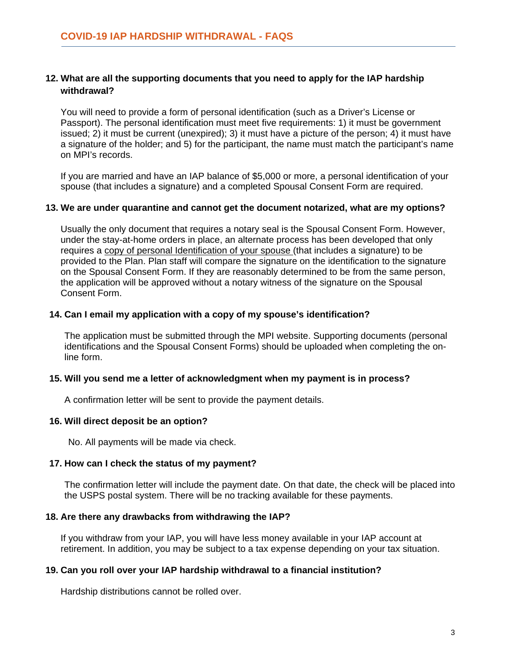# **12. What are all the supporting documents that you need to apply for the IAP hardship withdrawal?**

You will need to provide a form of personal identification (such as a Driver's License or Passport). The personal identification must meet five requirements: 1) it must be government issued; 2) it must be current (unexpired); 3) it must have a picture of the person; 4) it must have a signature of the holder; and 5) for the participant, the name must match the participant's name on MPI's records.

If you are married and have an IAP balance of \$5,000 or more, a personal identification of your spouse (that includes a signature) and a completed Spousal Consent Form are required.

### **13. We are under quarantine and cannot get the document notarized, what are my options?**

Usually the only document that requires a notary seal is the Spousal Consent Form. However, under the stay-at-home orders in place, an alternate process has been developed that only requires a copy of personal Identification of your spouse (that includes a signature) to be provided to the Plan. Plan staff will compare the signature on the identification to the signature on the Spousal Consent Form. If they are reasonably determined to be from the same person, the application will be approved without a notary witness of the signature on the Spousal Consent Form.

### **14. Can I email my application with a copy of my spouse's identification?**

The application must be submitted through the MPI website. Supporting documents (personal identifications and the Spousal Consent Forms) should be uploaded when completing the online form.

### **15. Will you send me a letter of acknowledgment when my payment is in process?**

A confirmation letter will be sent to provide the payment details.

#### **16. Will direct deposit be an option?**

No. All payments will be made via check.

# **17. How can I check the status of my payment?**

The confirmation letter will include the payment date. On that date, the check will be placed into the USPS postal system. There will be no tracking available for these payments.

#### **18. Are there any drawbacks from withdrawing the IAP?**

If you withdraw from your IAP, you will have less money available in your IAP account at retirement. In addition, you may be subject to a tax expense depending on your tax situation.

# **19. Can you roll over your IAP hardship withdrawal to a financial institution?**

Hardship distributions cannot be rolled over.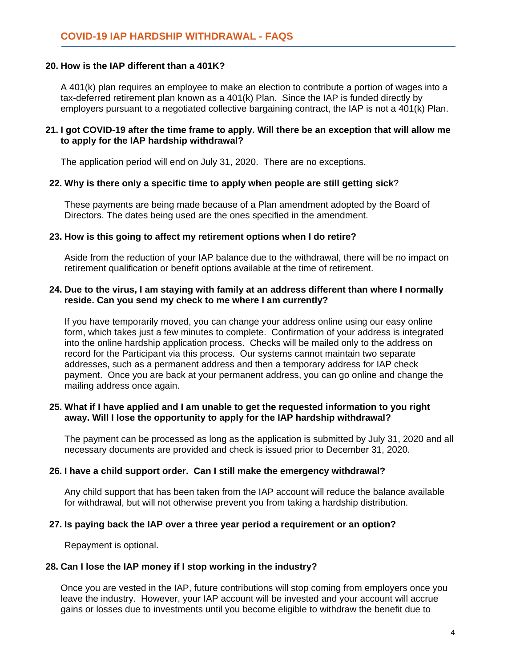# **20. How is the IAP different than a 401K?**

A 401(k) plan requires an employee to make an election to contribute a portion of wages into a tax-deferred retirement plan known as a 401(k) Plan. Since the IAP is funded directly by employers pursuant to a negotiated collective bargaining contract, the IAP is not a 401(k) Plan.

# **21. I got COVID-19 after the time frame to apply. Will there be an exception that will allow me to apply for the IAP hardship withdrawal?**

The application period will end on July 31, 2020. There are no exceptions.

### **22. Why is there only a specific time to apply when people are still getting sick**?

These payments are being made because of a Plan amendment adopted by the Board of Directors. The dates being used are the ones specified in the amendment.

# **23. How is this going to affect my retirement options when I do retire?**

Aside from the reduction of your IAP balance due to the withdrawal, there will be no impact on retirement qualification or benefit options available at the time of retirement.

### **24. Due to the virus, I am staying with family at an address different than where I normally reside. Can you send my check to me where I am currently?**

If you have temporarily moved, you can change your address online using our easy online form, which takes just a few minutes to complete. Confirmation of your address is integrated into the online hardship application process. Checks will be mailed only to the address on record for the Participant via this process. Our systems cannot maintain two separate addresses, such as a permanent address and then a temporary address for IAP check payment. Once you are back at your permanent address, you can go online and change the mailing address once again.

### **25. What if I have applied and I am unable to get the requested information to you right away. Will I lose the opportunity to apply for the IAP hardship withdrawal?**

The payment can be processed as long as the application is submitted by July 31, 2020 and all necessary documents are provided and check is issued prior to December 31, 2020.

#### **26. I have a child support order. Can I still make the emergency withdrawal?**

Any child support that has been taken from the IAP account will reduce the balance available for withdrawal, but will not otherwise prevent you from taking a hardship distribution.

# **27. Is paying back the IAP over a three year period a requirement or an option?**

Repayment is optional.

# **28. Can I lose the IAP money if I stop working in the industry?**

Once you are vested in the IAP, future contributions will stop coming from employers once you leave the industry. However, your IAP account will be invested and your account will accrue gains or losses due to investments until you become eligible to withdraw the benefit due to